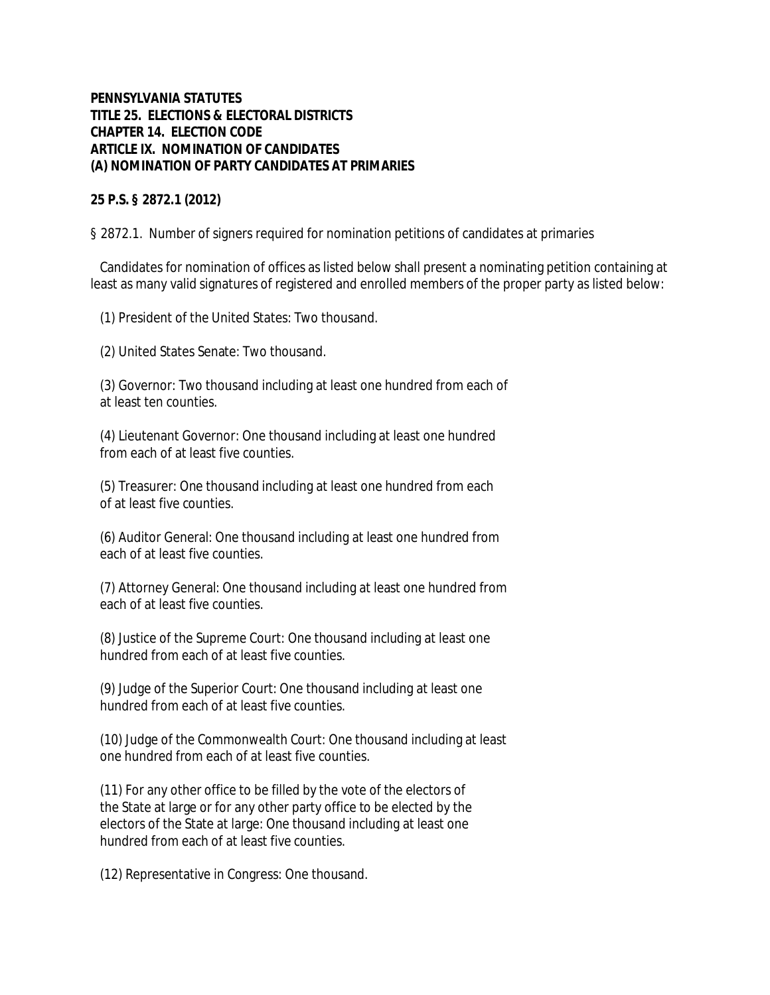## **PENNSYLVANIA STATUTES TITLE 25. ELECTIONS & ELECTORAL DISTRICTS CHAPTER 14. ELECTION CODE ARTICLE IX. NOMINATION OF CANDIDATES (A) NOMINATION OF PARTY CANDIDATES AT PRIMARIES**

**25 P.S. § 2872.1 (2012)**

§ 2872.1. Number of signers required for nomination petitions of candidates at primaries

 Candidates for nomination of offices as listed below shall present a nominating petition containing at least as many valid signatures of registered and enrolled members of the proper party as listed below:

(1) President of the United States: Two thousand.

(2) United States Senate: Two thousand.

 (3) Governor: Two thousand including at least one hundred from each of at least ten counties.

 (4) Lieutenant Governor: One thousand including at least one hundred from each of at least five counties.

 (5) Treasurer: One thousand including at least one hundred from each of at least five counties.

 (6) Auditor General: One thousand including at least one hundred from each of at least five counties.

 (7) Attorney General: One thousand including at least one hundred from each of at least five counties.

 (8) Justice of the Supreme Court: One thousand including at least one hundred from each of at least five counties.

 (9) Judge of the Superior Court: One thousand including at least one hundred from each of at least five counties.

 (10) Judge of the Commonwealth Court: One thousand including at least one hundred from each of at least five counties.

 (11) For any other office to be filled by the vote of the electors of the State at large or for any other party office to be elected by the electors of the State at large: One thousand including at least one hundred from each of at least five counties.

(12) Representative in Congress: One thousand.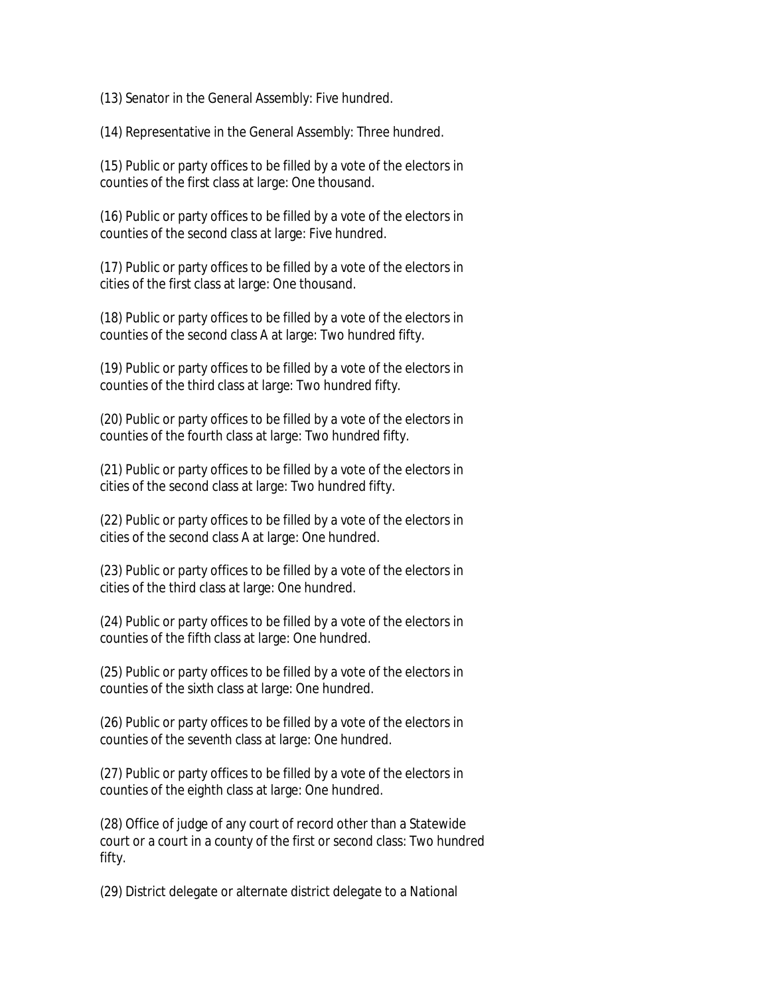(13) Senator in the General Assembly: Five hundred.

(14) Representative in the General Assembly: Three hundred.

 (15) Public or party offices to be filled by a vote of the electors in counties of the first class at large: One thousand.

 (16) Public or party offices to be filled by a vote of the electors in counties of the second class at large: Five hundred.

 (17) Public or party offices to be filled by a vote of the electors in cities of the first class at large: One thousand.

 (18) Public or party offices to be filled by a vote of the electors in counties of the second class A at large: Two hundred fifty.

 (19) Public or party offices to be filled by a vote of the electors in counties of the third class at large: Two hundred fifty.

 (20) Public or party offices to be filled by a vote of the electors in counties of the fourth class at large: Two hundred fifty.

 (21) Public or party offices to be filled by a vote of the electors in cities of the second class at large: Two hundred fifty.

 (22) Public or party offices to be filled by a vote of the electors in cities of the second class A at large: One hundred.

 (23) Public or party offices to be filled by a vote of the electors in cities of the third class at large: One hundred.

 (24) Public or party offices to be filled by a vote of the electors in counties of the fifth class at large: One hundred.

 (25) Public or party offices to be filled by a vote of the electors in counties of the sixth class at large: One hundred.

 (26) Public or party offices to be filled by a vote of the electors in counties of the seventh class at large: One hundred.

 (27) Public or party offices to be filled by a vote of the electors in counties of the eighth class at large: One hundred.

 (28) Office of judge of any court of record other than a Statewide court or a court in a county of the first or second class: Two hundred fifty.

(29) District delegate or alternate district delegate to a National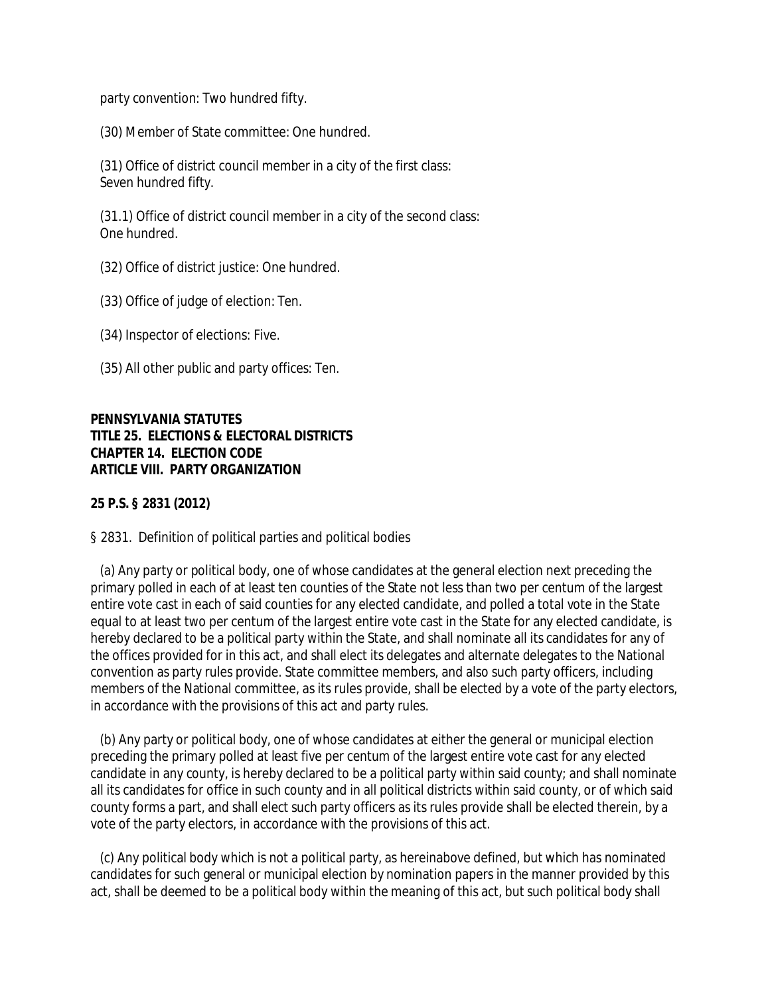party convention: Two hundred fifty.

(30) Member of State committee: One hundred.

 (31) Office of district council member in a city of the first class: Seven hundred fifty.

 (31.1) Office of district council member in a city of the second class: One hundred.

(32) Office of district justice: One hundred.

(33) Office of judge of election: Ten.

(34) Inspector of elections: Five.

(35) All other public and party offices: Ten.

**PENNSYLVANIA STATUTES TITLE 25. ELECTIONS & ELECTORAL DISTRICTS CHAPTER 14. ELECTION CODE ARTICLE VIII. PARTY ORGANIZATION**

**25 P.S. § 2831 (2012)**

§ 2831. Definition of political parties and political bodies

 (a) Any party or political body, one of whose candidates at the general election next preceding the primary polled in each of at least ten counties of the State not less than two per centum of the largest entire vote cast in each of said counties for any elected candidate, and polled a total vote in the State equal to at least two per centum of the largest entire vote cast in the State for any elected candidate, is hereby declared to be a political party within the State, and shall nominate all its candidates for any of the offices provided for in this act, and shall elect its delegates and alternate delegates to the National convention as party rules provide. State committee members, and also such party officers, including members of the National committee, as its rules provide, shall be elected by a vote of the party electors, in accordance with the provisions of this act and party rules.

 (b) Any party or political body, one of whose candidates at either the general or municipal election preceding the primary polled at least five per centum of the largest entire vote cast for any elected candidate in any county, is hereby declared to be a political party within said county; and shall nominate all its candidates for office in such county and in all political districts within said county, or of which said county forms a part, and shall elect such party officers as its rules provide shall be elected therein, by a vote of the party electors, in accordance with the provisions of this act.

 (c) Any political body which is not a political party, as hereinabove defined, but which has nominated candidates for such general or municipal election by nomination papers in the manner provided by this act, shall be deemed to be a political body within the meaning of this act, but such political body shall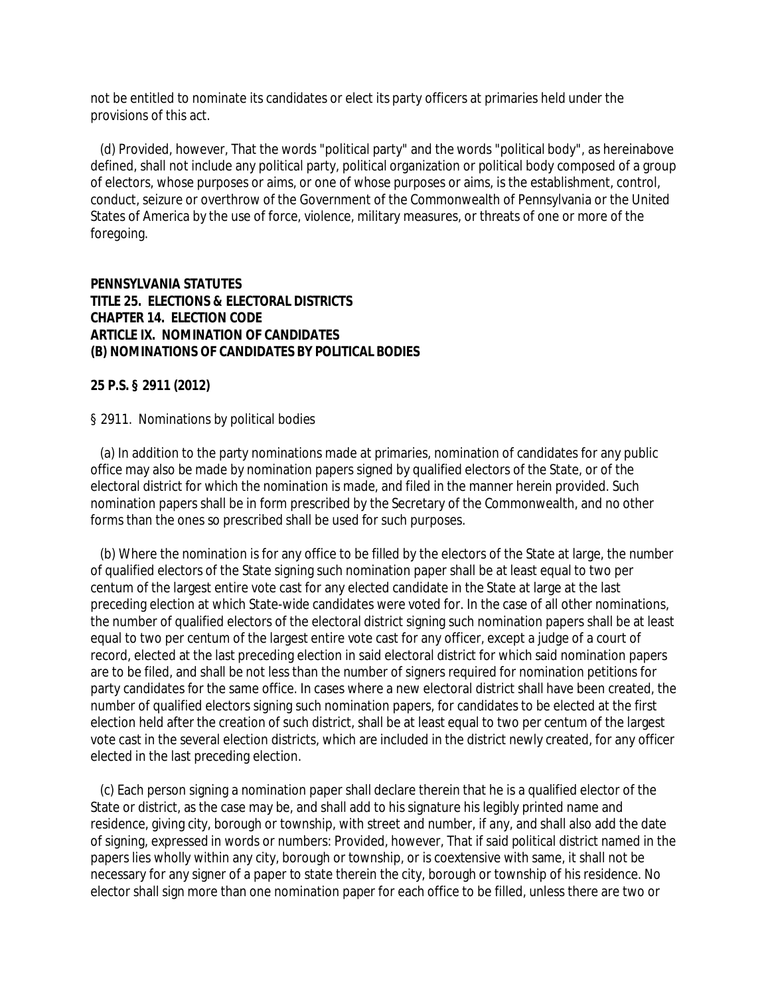not be entitled to nominate its candidates or elect its party officers at primaries held under the provisions of this act.

 (d) Provided, however, That the words "political party" and the words "political body", as hereinabove defined, shall not include any political party, political organization or political body composed of a group of electors, whose purposes or aims, or one of whose purposes or aims, is the establishment, control, conduct, seizure or overthrow of the Government of the Commonwealth of Pennsylvania or the United States of America by the use of force, violence, military measures, or threats of one or more of the foregoing.

**PENNSYLVANIA STATUTES TITLE 25. ELECTIONS & ELECTORAL DISTRICTS CHAPTER 14. ELECTION CODE ARTICLE IX. NOMINATION OF CANDIDATES (B) NOMINATIONS OF CANDIDATES BY POLITICAL BODIES**

**25 P.S. § 2911 (2012)**

§ 2911. Nominations by political bodies

 (a) In addition to the party nominations made at primaries, nomination of candidates for any public office may also be made by nomination papers signed by qualified electors of the State, or of the electoral district for which the nomination is made, and filed in the manner herein provided. Such nomination papers shall be in form prescribed by the Secretary of the Commonwealth, and no other forms than the ones so prescribed shall be used for such purposes.

 (b) Where the nomination is for any office to be filled by the electors of the State at large, the number of qualified electors of the State signing such nomination paper shall be at least equal to two per centum of the largest entire vote cast for any elected candidate in the State at large at the last preceding election at which State-wide candidates were voted for. In the case of all other nominations, the number of qualified electors of the electoral district signing such nomination papers shall be at least equal to two per centum of the largest entire vote cast for any officer, except a judge of a court of record, elected at the last preceding election in said electoral district for which said nomination papers are to be filed, and shall be not less than the number of signers required for nomination petitions for party candidates for the same office. In cases where a new electoral district shall have been created, the number of qualified electors signing such nomination papers, for candidates to be elected at the first election held after the creation of such district, shall be at least equal to two per centum of the largest vote cast in the several election districts, which are included in the district newly created, for any officer elected in the last preceding election.

 (c) Each person signing a nomination paper shall declare therein that he is a qualified elector of the State or district, as the case may be, and shall add to his signature his legibly printed name and residence, giving city, borough or township, with street and number, if any, and shall also add the date of signing, expressed in words or numbers: Provided, however, That if said political district named in the papers lies wholly within any city, borough or township, or is coextensive with same, it shall not be necessary for any signer of a paper to state therein the city, borough or township of his residence. No elector shall sign more than one nomination paper for each office to be filled, unless there are two or